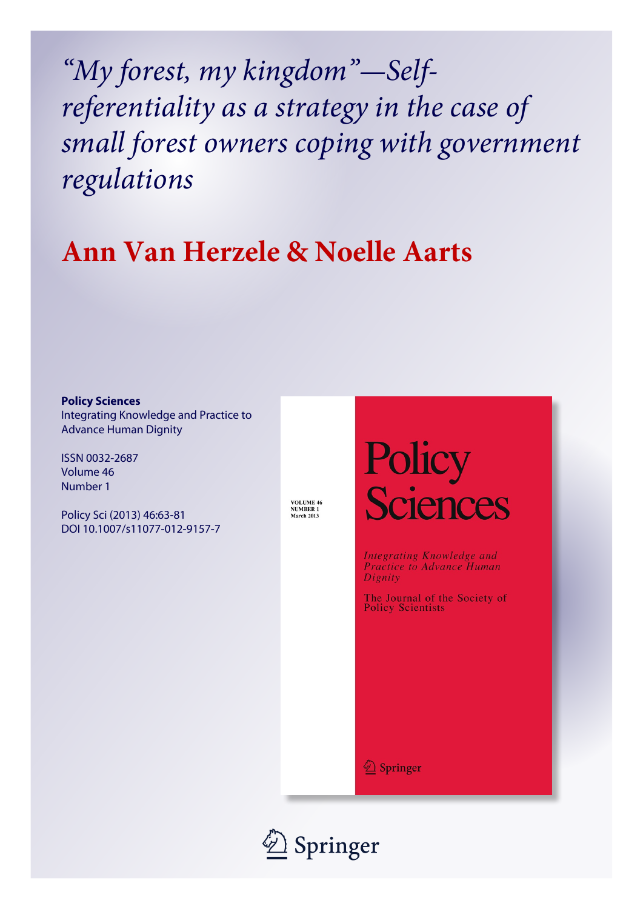*"My forest, my kingdom"—Selfreferentiality as a strategy in the case of small forest owners coping with government regulations*

# **Ann Van Herzele & Noelle Aarts**

**Policy Sciences** Integrating Knowledge and Practice to Advance Human Dignity

ISSN 0032-2687 Volume 46 Number 1

Policy Sci (2013) 46:63-81 DOI 10.1007/s11077-012-9157-7 **VOLUME 46** NUMBER 1<br>March 2013

Policy **Sciences** 

**Integrating Knowledge and** Practice to Advance Human Dignity

The Journal of the Society of<br>Policy Scientists

2 Springer

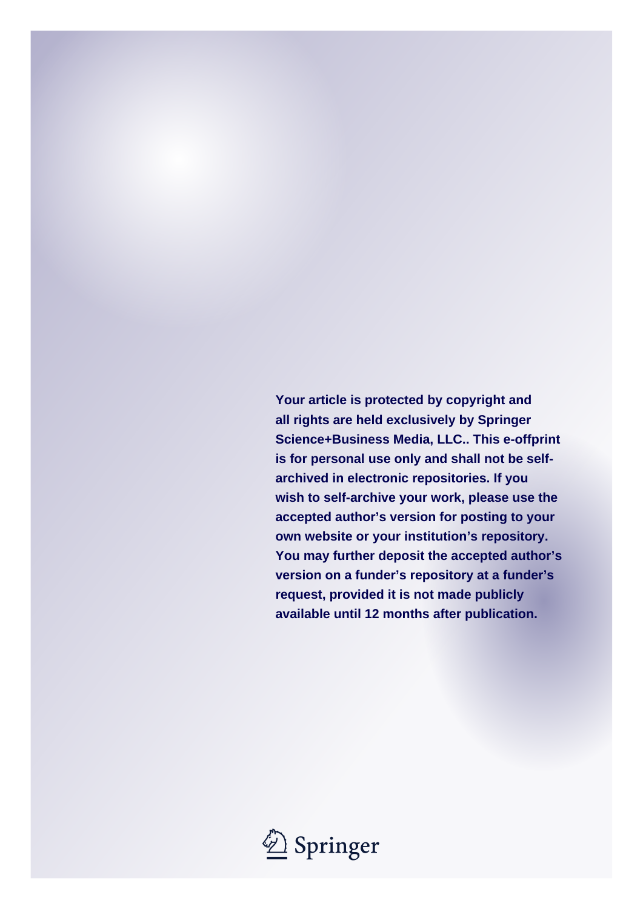**Your article is protected by copyright and all rights are held exclusively by Springer Science+Business Media, LLC.. This e-offprint is for personal use only and shall not be selfarchived in electronic repositories. If you wish to self-archive your work, please use the accepted author's version for posting to your own website or your institution's repository. You may further deposit the accepted author's version on a funder's repository at a funder's request, provided it is not made publicly available until 12 months after publication.**

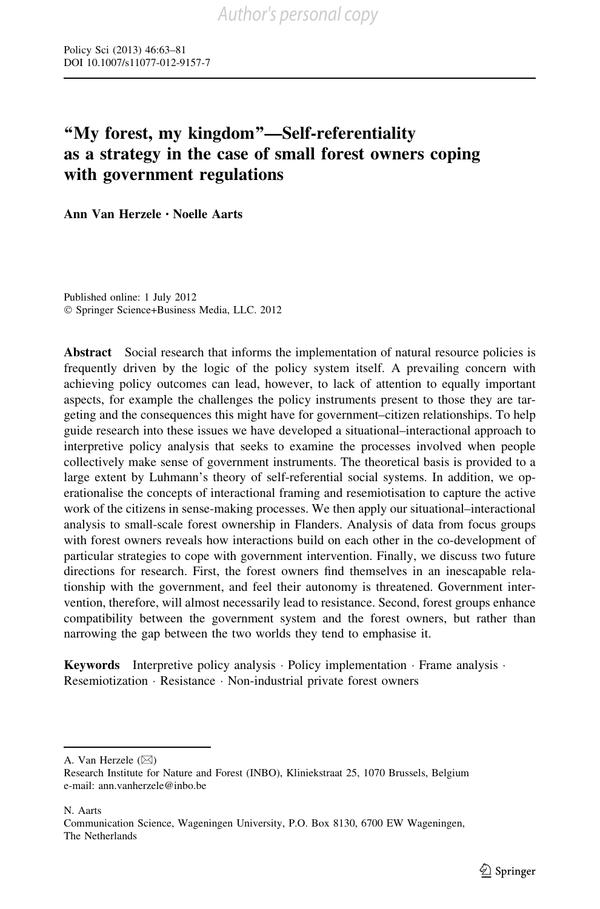# ''My forest, my kingdom''—Self-referentiality as a strategy in the case of small forest owners coping with government regulations

Ann Van Herzele • Noelle Aarts

Published online: 1 July 2012 - Springer Science+Business Media, LLC. 2012

Abstract Social research that informs the implementation of natural resource policies is frequently driven by the logic of the policy system itself. A prevailing concern with achieving policy outcomes can lead, however, to lack of attention to equally important aspects, for example the challenges the policy instruments present to those they are targeting and the consequences this might have for government–citizen relationships. To help guide research into these issues we have developed a situational–interactional approach to interpretive policy analysis that seeks to examine the processes involved when people collectively make sense of government instruments. The theoretical basis is provided to a large extent by Luhmann's theory of self-referential social systems. In addition, we operationalise the concepts of interactional framing and resemiotisation to capture the active work of the citizens in sense-making processes. We then apply our situational–interactional analysis to small-scale forest ownership in Flanders. Analysis of data from focus groups with forest owners reveals how interactions build on each other in the co-development of particular strategies to cope with government intervention. Finally, we discuss two future directions for research. First, the forest owners find themselves in an inescapable relationship with the government, and feel their autonomy is threatened. Government intervention, therefore, will almost necessarily lead to resistance. Second, forest groups enhance compatibility between the government system and the forest owners, but rather than narrowing the gap between the two worlds they tend to emphasise it.

Keywords Interpretive policy analysis · Policy implementation · Frame analysis · Resemiotization - Resistance - Non-industrial private forest owners

N. Aarts

A. Van Herzele  $(\boxtimes)$ 

Research Institute for Nature and Forest (INBO), Kliniekstraat 25, 1070 Brussels, Belgium e-mail: ann.vanherzele@inbo.be

Communication Science, Wageningen University, P.O. Box 8130, 6700 EW Wageningen, The Netherlands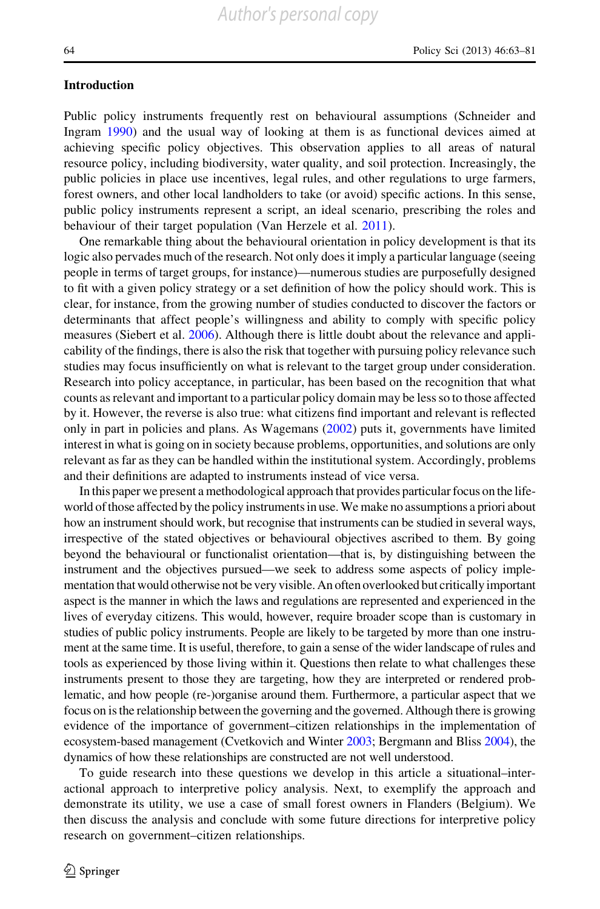## Introduction

Public policy instruments frequently rest on behavioural assumptions (Schneider and Ingram [1990](#page-19-0)) and the usual way of looking at them is as functional devices aimed at achieving specific policy objectives. This observation applies to all areas of natural resource policy, including biodiversity, water quality, and soil protection. Increasingly, the public policies in place use incentives, legal rules, and other regulations to urge farmers, forest owners, and other local landholders to take (or avoid) specific actions. In this sense, public policy instruments represent a script, an ideal scenario, prescribing the roles and behaviour of their target population (Van Herzele et al. [2011](#page-20-0)).

One remarkable thing about the behavioural orientation in policy development is that its logic also pervades much of the research. Not only does it imply a particular language (seeing people in terms of target groups, for instance)—numerous studies are purposefully designed to fit with a given policy strategy or a set definition of how the policy should work. This is clear, for instance, from the growing number of studies conducted to discover the factors or determinants that affect people's willingness and ability to comply with specific policy measures (Siebert et al. [2006](#page-19-0)). Although there is little doubt about the relevance and applicability of the findings, there is also the risk that together with pursuing policy relevance such studies may focus insufficiently on what is relevant to the target group under consideration. Research into policy acceptance, in particular, has been based on the recognition that what counts as relevant and important to a particular policy domain may be less so to those affected by it. However, the reverse is also true: what citizens find important and relevant is reflected only in part in policies and plans. As Wagemans [\(2002](#page-20-0)) puts it, governments have limited interest in what is going on in society because problems, opportunities, and solutions are only relevant as far as they can be handled within the institutional system. Accordingly, problems and their definitions are adapted to instruments instead of vice versa.

In this paper we present a methodological approach that provides particular focus on the lifeworld of those affected by the policy instruments in use. We make no assumptions a priori about how an instrument should work, but recognise that instruments can be studied in several ways, irrespective of the stated objectives or behavioural objectives ascribed to them. By going beyond the behavioural or functionalist orientation—that is, by distinguishing between the instrument and the objectives pursued—we seek to address some aspects of policy implementation that would otherwise not be very visible. An often overlooked but critically important aspect is the manner in which the laws and regulations are represented and experienced in the lives of everyday citizens. This would, however, require broader scope than is customary in studies of public policy instruments. People are likely to be targeted by more than one instrument at the same time. It is useful, therefore, to gain a sense of the wider landscape of rules and tools as experienced by those living within it. Questions then relate to what challenges these instruments present to those they are targeting, how they are interpreted or rendered problematic, and how people (re-)organise around them. Furthermore, a particular aspect that we focus on is the relationship between the governing and the governed. Although there is growing evidence of the importance of government–citizen relationships in the implementation of ecosystem-based management (Cvetkovich and Winter [2003](#page-19-0); Bergmann and Bliss [2004](#page-18-0)), the dynamics of how these relationships are constructed are not well understood.

To guide research into these questions we develop in this article a situational–interactional approach to interpretive policy analysis. Next, to exemplify the approach and demonstrate its utility, we use a case of small forest owners in Flanders (Belgium). We then discuss the analysis and conclude with some future directions for interpretive policy research on government–citizen relationships.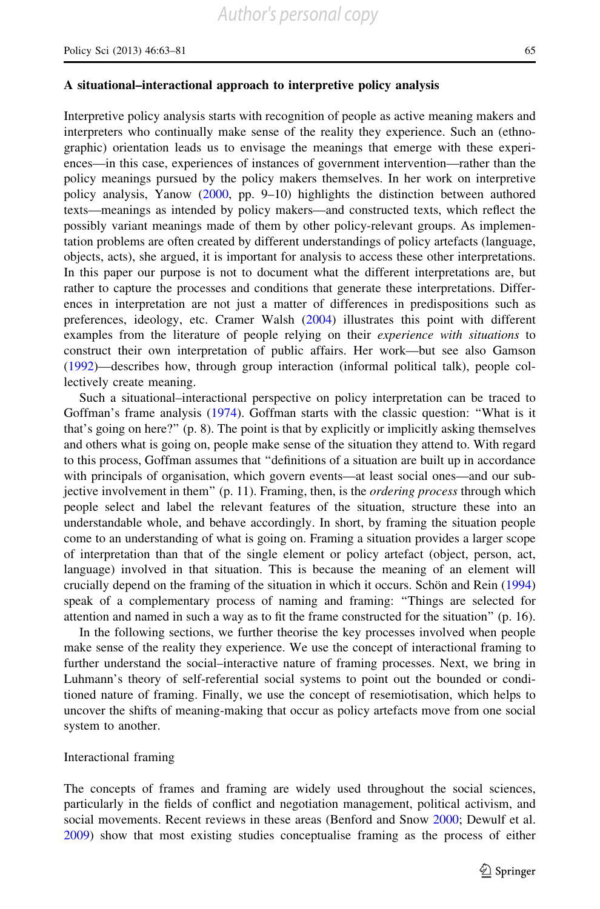#### A situational–interactional approach to interpretive policy analysis

Interpretive policy analysis starts with recognition of people as active meaning makers and interpreters who continually make sense of the reality they experience. Such an (ethnographic) orientation leads us to envisage the meanings that emerge with these experiences—in this case, experiences of instances of government intervention—rather than the policy meanings pursued by the policy makers themselves. In her work on interpretive policy analysis, Yanow ([2000,](#page-20-0) pp. 9–10) highlights the distinction between authored texts—meanings as intended by policy makers—and constructed texts, which reflect the possibly variant meanings made of them by other policy-relevant groups. As implementation problems are often created by different understandings of policy artefacts (language, objects, acts), she argued, it is important for analysis to access these other interpretations. In this paper our purpose is not to document what the different interpretations are, but rather to capture the processes and conditions that generate these interpretations. Differences in interpretation are not just a matter of differences in predispositions such as preferences, ideology, etc. Cramer Walsh [\(2004](#page-20-0)) illustrates this point with different examples from the literature of people relying on their *experience with situations* to construct their own interpretation of public affairs. Her work—but see also Gamson ([1992\)](#page-19-0)—describes how, through group interaction (informal political talk), people collectively create meaning.

Such a situational–interactional perspective on policy interpretation can be traced to Goffman's frame analysis ([1974\)](#page-19-0). Goffman starts with the classic question: ''What is it that's going on here?'' (p. 8). The point is that by explicitly or implicitly asking themselves and others what is going on, people make sense of the situation they attend to. With regard to this process, Goffman assumes that ''definitions of a situation are built up in accordance with principals of organisation, which govern events—at least social ones—and our subjective involvement in them" (p. 11). Framing, then, is the *ordering process* through which people select and label the relevant features of the situation, structure these into an understandable whole, and behave accordingly. In short, by framing the situation people come to an understanding of what is going on. Framing a situation provides a larger scope of interpretation than that of the single element or policy artefact (object, person, act, language) involved in that situation. This is because the meaning of an element will crucially depend on the framing of the situation in which it occurs. Schön and Rein ([1994](#page-19-0)) speak of a complementary process of naming and framing: ''Things are selected for attention and named in such a way as to fit the frame constructed for the situation'' (p. 16).

In the following sections, we further theorise the key processes involved when people make sense of the reality they experience. We use the concept of interactional framing to further understand the social–interactive nature of framing processes. Next, we bring in Luhmann's theory of self-referential social systems to point out the bounded or conditioned nature of framing. Finally, we use the concept of resemiotisation, which helps to uncover the shifts of meaning-making that occur as policy artefacts move from one social system to another.

#### Interactional framing

The concepts of frames and framing are widely used throughout the social sciences, particularly in the fields of conflict and negotiation management, political activism, and social movements. Recent reviews in these areas (Benford and Snow [2000](#page-18-0); Dewulf et al. [2009\)](#page-19-0) show that most existing studies conceptualise framing as the process of either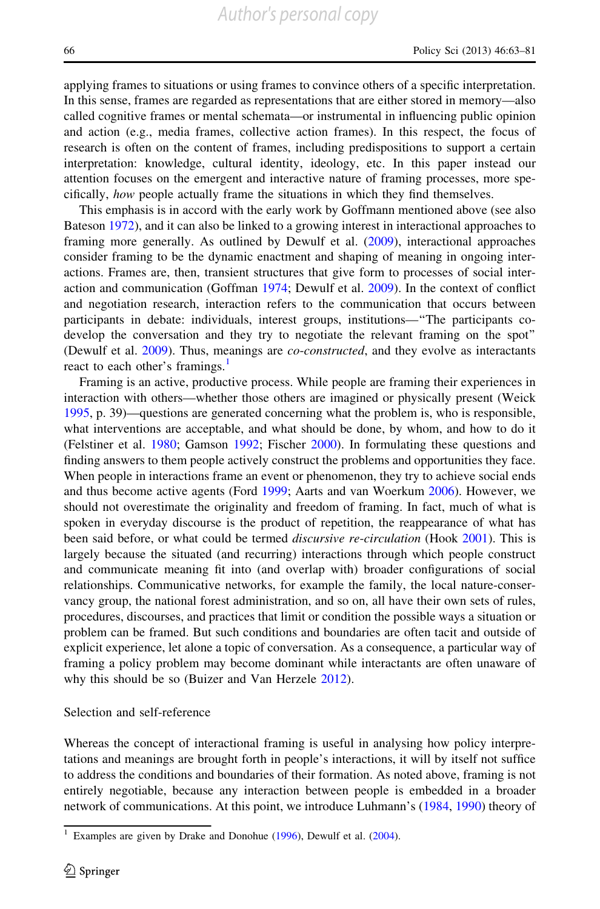applying frames to situations or using frames to convince others of a specific interpretation. In this sense, frames are regarded as representations that are either stored in memory—also called cognitive frames or mental schemata—or instrumental in influencing public opinion and action (e.g., media frames, collective action frames). In this respect, the focus of research is often on the content of frames, including predispositions to support a certain interpretation: knowledge, cultural identity, ideology, etc. In this paper instead our attention focuses on the emergent and interactive nature of framing processes, more specifically, how people actually frame the situations in which they find themselves.

This emphasis is in accord with the early work by Goffmann mentioned above (see also Bateson [1972\)](#page-18-0), and it can also be linked to a growing interest in interactional approaches to framing more generally. As outlined by Dewulf et al. ([2009\)](#page-19-0), interactional approaches consider framing to be the dynamic enactment and shaping of meaning in ongoing interactions. Frames are, then, transient structures that give form to processes of social interaction and communication (Goffman [1974;](#page-19-0) Dewulf et al. [2009\)](#page-19-0). In the context of conflict and negotiation research, interaction refers to the communication that occurs between participants in debate: individuals, interest groups, institutions—''The participants codevelop the conversation and they try to negotiate the relevant framing on the spot'' (Dewulf et al. [2009](#page-19-0)). Thus, meanings are *co-constructed*, and they evolve as interactants react to each other's framings.<sup>1</sup>

Framing is an active, productive process. While people are framing their experiences in interaction with others—whether those others are imagined or physically present (Weick [1995,](#page-20-0) p. 39)—questions are generated concerning what the problem is, who is responsible, what interventions are acceptable, and what should be done, by whom, and how to do it (Felstiner et al. [1980](#page-19-0); Gamson [1992;](#page-19-0) Fischer [2000\)](#page-19-0). In formulating these questions and finding answers to them people actively construct the problems and opportunities they face. When people in interactions frame an event or phenomenon, they try to achieve social ends and thus become active agents (Ford [1999;](#page-19-0) Aarts and van Woerkum [2006](#page-18-0)). However, we should not overestimate the originality and freedom of framing. In fact, much of what is spoken in everyday discourse is the product of repetition, the reappearance of what has been said before, or what could be termed *discursive re-circulation* (Hook [2001\)](#page-19-0). This is largely because the situated (and recurring) interactions through which people construct and communicate meaning fit into (and overlap with) broader configurations of social relationships. Communicative networks, for example the family, the local nature-conservancy group, the national forest administration, and so on, all have their own sets of rules, procedures, discourses, and practices that limit or condition the possible ways a situation or problem can be framed. But such conditions and boundaries are often tacit and outside of explicit experience, let alone a topic of conversation. As a consequence, a particular way of framing a policy problem may become dominant while interactants are often unaware of why this should be so (Buizer and Van Herzele [2012](#page-19-0)).

# Selection and self-reference

Whereas the concept of interactional framing is useful in analysing how policy interpretations and meanings are brought forth in people's interactions, it will by itself not suffice to address the conditions and boundaries of their formation. As noted above, framing is not entirely negotiable, because any interaction between people is embedded in a broader network of communications. At this point, we introduce Luhmann's [\(1984](#page-19-0), [1990\)](#page-19-0) theory of

Examples are given by Drake and Donohue ([1996\)](#page-19-0), Dewulf et al. [\(2004](#page-19-0)).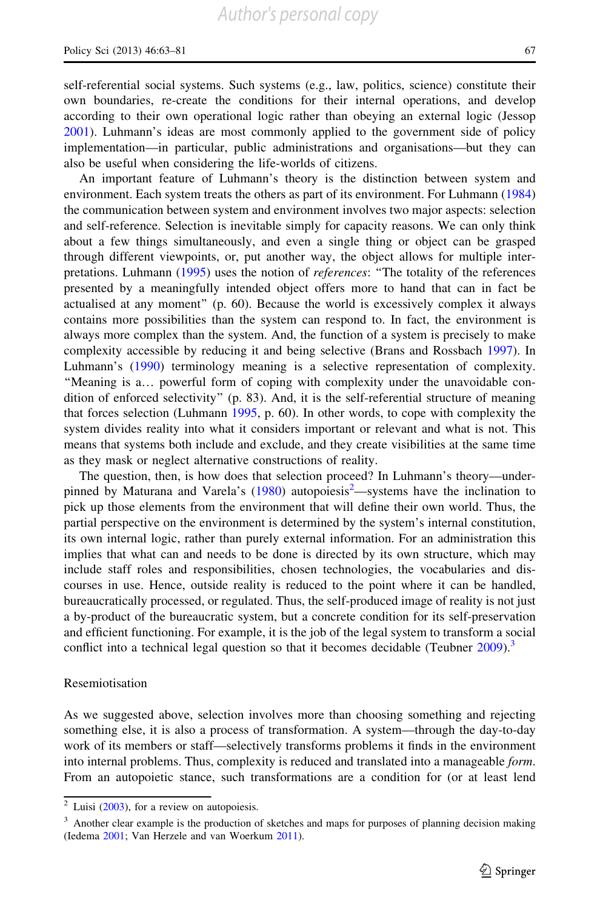self-referential social systems. Such systems (e.g., law, politics, science) constitute their own boundaries, re-create the conditions for their internal operations, and develop according to their own operational logic rather than obeying an external logic (Jessop [2001\)](#page-19-0). Luhmann's ideas are most commonly applied to the government side of policy implementation—in particular, public administrations and organisations—but they can also be useful when considering the life-worlds of citizens.

An important feature of Luhmann's theory is the distinction between system and environment. Each system treats the others as part of its environment. For Luhmann ([1984](#page-19-0)) the communication between system and environment involves two major aspects: selection and self-reference. Selection is inevitable simply for capacity reasons. We can only think about a few things simultaneously, and even a single thing or object can be grasped through different viewpoints, or, put another way, the object allows for multiple inter-pretations. Luhmann [\(1995](#page-19-0)) uses the notion of *references*: "The totality of the references presented by a meaningfully intended object offers more to hand that can in fact be actualised at any moment'' (p. 60). Because the world is excessively complex it always contains more possibilities than the system can respond to. In fact, the environment is always more complex than the system. And, the function of a system is precisely to make complexity accessible by reducing it and being selective (Brans and Rossbach [1997\)](#page-18-0). In Luhmann's [\(1990](#page-19-0)) terminology meaning is a selective representation of complexity. ''Meaning is a… powerful form of coping with complexity under the unavoidable condition of enforced selectivity'' (p. 83). And, it is the self-referential structure of meaning that forces selection (Luhmann [1995,](#page-19-0) p. 60). In other words, to cope with complexity the system divides reality into what it considers important or relevant and what is not. This means that systems both include and exclude, and they create visibilities at the same time as they mask or neglect alternative constructions of reality.

The question, then, is how does that selection proceed? In Luhmann's theory—under-pinned by Maturana and Varela's [\(1980](#page-19-0)) autopoiesis<sup>2</sup>—systems have the inclination to pick up those elements from the environment that will define their own world. Thus, the partial perspective on the environment is determined by the system's internal constitution, its own internal logic, rather than purely external information. For an administration this implies that what can and needs to be done is directed by its own structure, which may include staff roles and responsibilities, chosen technologies, the vocabularies and discourses in use. Hence, outside reality is reduced to the point where it can be handled, bureaucratically processed, or regulated. Thus, the self-produced image of reality is not just a by-product of the bureaucratic system, but a concrete condition for its self-preservation and efficient functioning. For example, it is the job of the legal system to transform a social conflict into a technical legal question so that it becomes decidable (Teubner  $2009$ ).<sup>3</sup>

#### Resemiotisation

As we suggested above, selection involves more than choosing something and rejecting something else, it is also a process of transformation. A system—through the day-to-day work of its members or staff—selectively transforms problems it finds in the environment into internal problems. Thus, complexity is reduced and translated into a manageable form. From an autopoietic stance, such transformations are a condition for (or at least lend

Luisi [\(2003](#page-19-0)), for a review on autopoiesis.

<sup>3</sup> Another clear example is the production of sketches and maps for purposes of planning decision making (Iedema [2001;](#page-19-0) Van Herzele and van Woerkum [2011](#page-20-0)).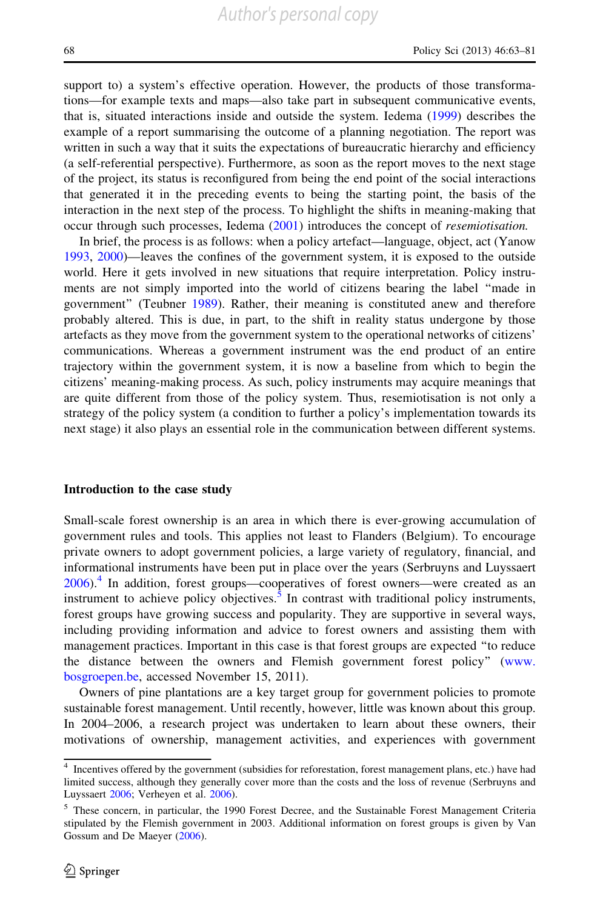support to) a system's effective operation. However, the products of those transformations—for example texts and maps—also take part in subsequent communicative events, that is, situated interactions inside and outside the system. Iedema [\(1999](#page-19-0)) describes the example of a report summarising the outcome of a planning negotiation. The report was written in such a way that it suits the expectations of bureaucratic hierarchy and efficiency (a self-referential perspective). Furthermore, as soon as the report moves to the next stage of the project, its status is reconfigured from being the end point of the social interactions that generated it in the preceding events to being the starting point, the basis of the interaction in the next step of the process. To highlight the shifts in meaning-making that occur through such processes, Iedema [\(2001](#page-19-0)) introduces the concept of resemiotisation.

In brief, the process is as follows: when a policy artefact—language, object, act (Yanow [1993,](#page-20-0) [2000](#page-20-0))—leaves the confines of the government system, it is exposed to the outside world. Here it gets involved in new situations that require interpretation. Policy instruments are not simply imported into the world of citizens bearing the label ''made in government'' (Teubner [1989](#page-19-0)). Rather, their meaning is constituted anew and therefore probably altered. This is due, in part, to the shift in reality status undergone by those artefacts as they move from the government system to the operational networks of citizens' communications. Whereas a government instrument was the end product of an entire trajectory within the government system, it is now a baseline from which to begin the citizens' meaning-making process. As such, policy instruments may acquire meanings that are quite different from those of the policy system. Thus, resemiotisation is not only a strategy of the policy system (a condition to further a policy's implementation towards its next stage) it also plays an essential role in the communication between different systems.

#### Introduction to the case study

Small-scale forest ownership is an area in which there is ever-growing accumulation of government rules and tools. This applies not least to Flanders (Belgium). To encourage private owners to adopt government policies, a large variety of regulatory, financial, and informational instruments have been put in place over the years (Serbruyns and Luyssaert [2006\)](#page-19-0).4 In addition, forest groups—cooperatives of forest owners—were created as an instrument to achieve policy objectives.<sup>5</sup> In contrast with traditional policy instruments, forest groups have growing success and popularity. They are supportive in several ways, including providing information and advice to forest owners and assisting them with management practices. Important in this case is that forest groups are expected ''to reduce the distance between the owners and Flemish government forest policy'' ([www.](http://www.bosgroepen.be) [bosgroepen.be,](http://www.bosgroepen.be) accessed November 15, 2011).

Owners of pine plantations are a key target group for government policies to promote sustainable forest management. Until recently, however, little was known about this group. In 2004–2006, a research project was undertaken to learn about these owners, their motivations of ownership, management activities, and experiences with government

Incentives offered by the government (subsidies for reforestation, forest management plans, etc.) have had limited success, although they generally cover more than the costs and the loss of revenue (Serbruyns and Luyssaert [2006](#page-19-0); Verheyen et al. [2006\)](#page-20-0).

<sup>5</sup> These concern, in particular, the 1990 Forest Decree, and the Sustainable Forest Management Criteria stipulated by the Flemish government in 2003. Additional information on forest groups is given by Van Gossum and De Maeyer [\(2006](#page-19-0)).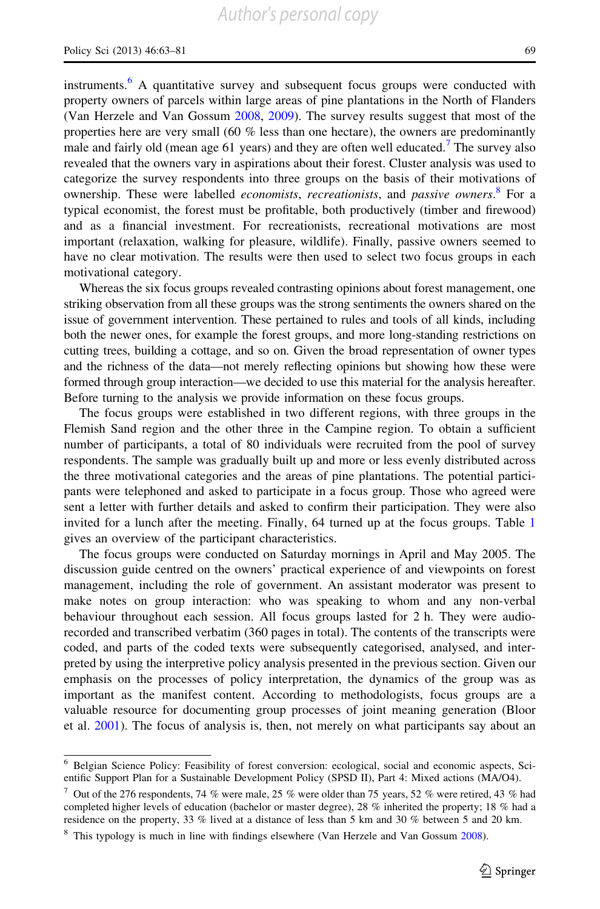instruments.<sup>6</sup> A quantitative survey and subsequent focus groups were conducted with property owners of parcels within large areas of pine plantations in the North of Flanders (Van Herzele and Van Gossum [2008,](#page-20-0) [2009\)](#page-20-0). The survey results suggest that most of the properties here are very small (60 % less than one hectare), the owners are predominantly male and fairly old (mean age 61 years) and they are often well educated.<sup>7</sup> The survey also revealed that the owners vary in aspirations about their forest. Cluster analysis was used to categorize the survey respondents into three groups on the basis of their motivations of ownership. These were labelled *economists, recreationists,* and *passive owners*.<sup>8</sup> For a typical economist, the forest must be profitable, both productively (timber and firewood) and as a financial investment. For recreationists, recreational motivations are most important (relaxation, walking for pleasure, wildlife). Finally, passive owners seemed to have no clear motivation. The results were then used to select two focus groups in each motivational category.

Whereas the six focus groups revealed contrasting opinions about forest management, one striking observation from all these groups was the strong sentiments the owners shared on the issue of government intervention. These pertained to rules and tools of all kinds, including both the newer ones, for example the forest groups, and more long-standing restrictions on cutting trees, building a cottage, and so on. Given the broad representation of owner types and the richness of the data—not merely reflecting opinions but showing how these were formed through group interaction—we decided to use this material for the analysis hereafter. Before turning to the analysis we provide information on these focus groups.

The focus groups were established in two different regions, with three groups in the Flemish Sand region and the other three in the Campine region. To obtain a sufficient number of participants, a total of 80 individuals were recruited from the pool of survey respondents. The sample was gradually built up and more or less evenly distributed across the three motivational categories and the areas of pine plantations. The potential participants were telephoned and asked to participate in a focus group. Those who agreed were sent a letter with further details and asked to confirm their participation. They were also invited for a lunch after the meeting. Finally, 64 turned up at the focus groups. Table [1](#page-9-0) gives an overview of the participant characteristics.

The focus groups were conducted on Saturday mornings in April and May 2005. The discussion guide centred on the owners' practical experience of and viewpoints on forest management, including the role of government. An assistant moderator was present to make notes on group interaction: who was speaking to whom and any non-verbal behaviour throughout each session. All focus groups lasted for 2 h. They were audiorecorded and transcribed verbatim (360 pages in total). The contents of the transcripts were coded, and parts of the coded texts were subsequently categorised, analysed, and interpreted by using the interpretive policy analysis presented in the previous section. Given our emphasis on the processes of policy interpretation, the dynamics of the group was as important as the manifest content. According to methodologists, focus groups are a valuable resource for documenting group processes of joint meaning generation (Bloor et al. [2001](#page-18-0)). The focus of analysis is, then, not merely on what participants say about an

<sup>6</sup> Belgian Science Policy: Feasibility of forest conversion: ecological, social and economic aspects, Scientific Support Plan for a Sustainable Development Policy (SPSD II), Part 4: Mixed actions (MA/O4).

<sup>&</sup>lt;sup>7</sup> Out of the 276 respondents, 74 % were male, 25 % were older than 75 years, 52 % were retired, 43 % had completed higher levels of education (bachelor or master degree), 28 % inherited the property; 18 % had a residence on the property, 33 % lived at a distance of less than 5 km and 30 % between 5 and 20 km.

<sup>&</sup>lt;sup>8</sup> This typology is much in line with findings elsewhere (Van Herzele and Van Gossum [2008\)](#page-20-0).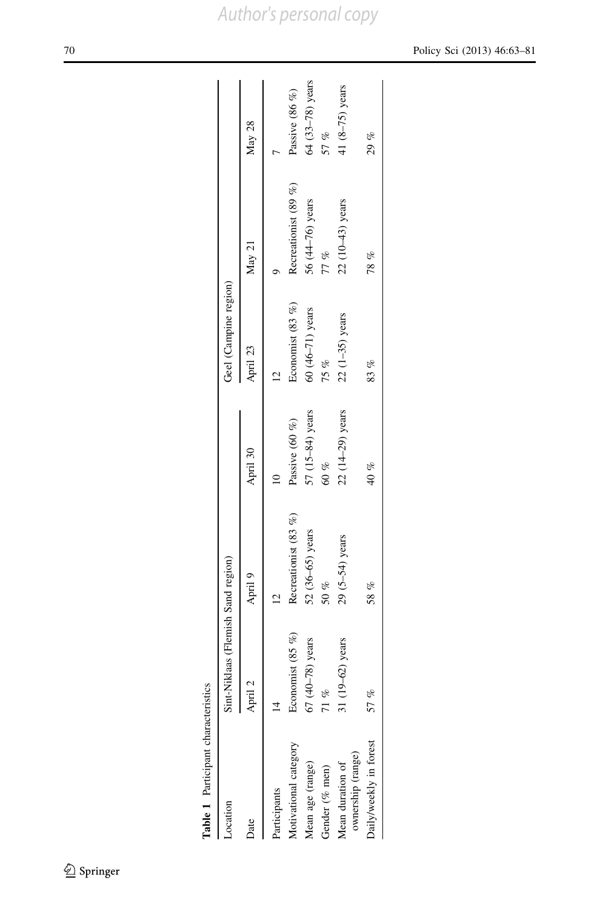<span id="page-9-0"></span>

| Table 1 Participant characteristics   |                                    |                      |                   |                       |                      |                  |
|---------------------------------------|------------------------------------|----------------------|-------------------|-----------------------|----------------------|------------------|
| ocation                               | Sint-Niklaas (Flemish Sand region) |                      |                   | Geel (Campine region) |                      |                  |
| Date                                  | $\overline{\phantom{a}}$<br>April  | April 9              | April 30          | April 23              | May 21               | May 28           |
| Participants                          |                                    |                      |                   |                       |                      |                  |
| Motivational category                 | Economist (85 %)                   | Recreationist (83 %) | Passive (60 %)    | Economist (83 %)      | Recreationist (89 %) | Passive (86 %)   |
| Mean age (range)                      | 67 (40-78) years                   | 52 (36-65) years     | 57 (15-84) years  | $60(46-71)$ years     | 56 (44-76) years     | 64 (33-78) years |
| Gender $(\%$ men)                     | $71\%$                             | 50~%                 | 60 %              | 75 %                  | 77 %                 | 57%              |
| ownership (range)<br>Mean duration of | .9-62) years<br>$\frac{1}{2}$      | 29 (5-54) years      | $22(14-29)$ years | $22(1-35)$ years      | $22(10-43)$ years    | 41 (8-75) years  |
| Daily/weekly in forest                | 57 %                               | 58 %                 | 40 %              | 83 %                  | 78 %                 | 29%              |
|                                       |                                    |                      |                   |                       |                      |                  |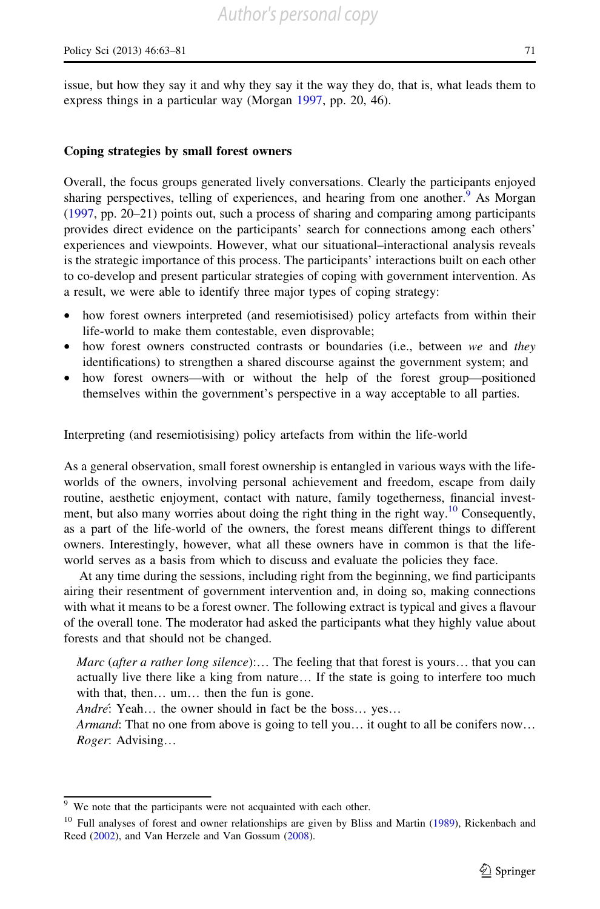issue, but how they say it and why they say it the way they do, that is, what leads them to express things in a particular way (Morgan [1997](#page-19-0), pp. 20, 46).

# Coping strategies by small forest owners

Overall, the focus groups generated lively conversations. Clearly the participants enjoyed sharing perspectives, telling of experiences, and hearing from one another.<sup>9</sup> As Morgan ([1997,](#page-19-0) pp. 20–21) points out, such a process of sharing and comparing among participants provides direct evidence on the participants' search for connections among each others' experiences and viewpoints. However, what our situational–interactional analysis reveals is the strategic importance of this process. The participants' interactions built on each other to co-develop and present particular strategies of coping with government intervention. As a result, we were able to identify three major types of coping strategy:

- how forest owners interpreted (and resemiotisised) policy artefacts from within their life-world to make them contestable, even disprovable;
- how forest owners constructed contrasts or boundaries (i.e., between we and they identifications) to strengthen a shared discourse against the government system; and
- how forest owners—with or without the help of the forest group—positioned themselves within the government's perspective in a way acceptable to all parties.

Interpreting (and resemiotisising) policy artefacts from within the life-world

As a general observation, small forest ownership is entangled in various ways with the lifeworlds of the owners, involving personal achievement and freedom, escape from daily routine, aesthetic enjoyment, contact with nature, family togetherness, financial investment, but also many worries about doing the right thing in the right way.<sup>10</sup> Consequently, as a part of the life-world of the owners, the forest means different things to different owners. Interestingly, however, what all these owners have in common is that the lifeworld serves as a basis from which to discuss and evaluate the policies they face.

At any time during the sessions, including right from the beginning, we find participants airing their resentment of government intervention and, in doing so, making connections with what it means to be a forest owner. The following extract is typical and gives a flavour of the overall tone. The moderator had asked the participants what they highly value about forests and that should not be changed.

Marc (after a rather long silence).... The feeling that that forest is yours... that you can actually live there like a king from nature… If the state is going to interfere too much with that, then… um… then the fun is gone.

Andre': Yeah... the owner should in fact be the boss... yes...

Armand: That no one from above is going to tell you... it ought to all be conifers now... Roger: Advising…

We note that the participants were not acquainted with each other.

<sup>&</sup>lt;sup>10</sup> Full analyses of forest and owner relationships are given by Bliss and Martin [\(1989](#page-18-0)), Rickenbach and Reed [\(2002](#page-19-0)), and Van Herzele and Van Gossum ([2008](#page-20-0)).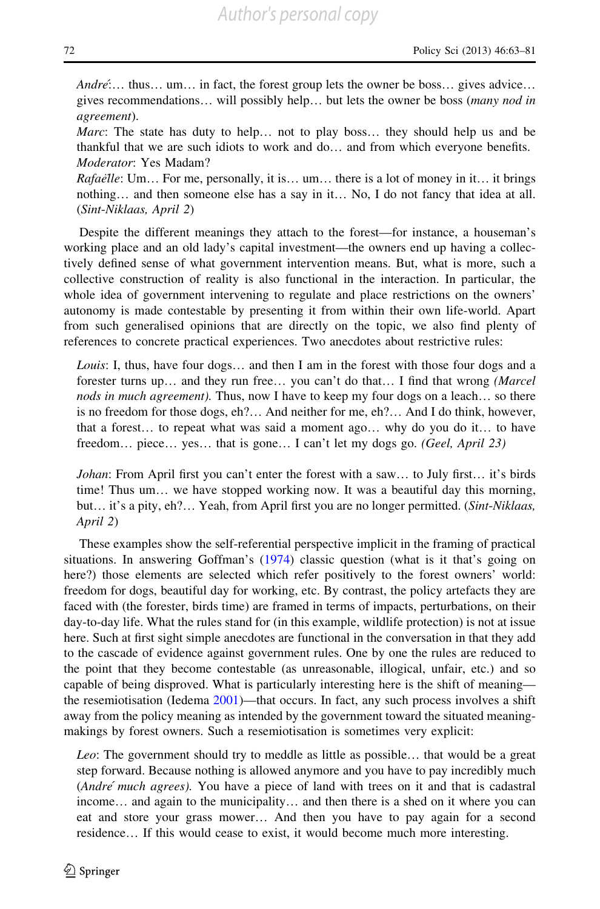André:... thus... um... in fact, the forest group lets the owner be boss... gives advice... gives recommendations… will possibly help… but lets the owner be boss (many nod in agreement).

Marc: The state has duty to help... not to play boss... they should help us and be thankful that we are such idiots to work and do… and from which everyone benefits. Moderator: Yes Madam?

*Rafaelle:* Um... For me, personally, it is… um... there is a lot of money in it… it brings nothing… and then someone else has a say in it… No, I do not fancy that idea at all. (Sint-Niklaas, April 2)

Despite the different meanings they attach to the forest—for instance, a houseman's working place and an old lady's capital investment—the owners end up having a collectively defined sense of what government intervention means. But, what is more, such a collective construction of reality is also functional in the interaction. In particular, the whole idea of government intervening to regulate and place restrictions on the owners' autonomy is made contestable by presenting it from within their own life-world. Apart from such generalised opinions that are directly on the topic, we also find plenty of references to concrete practical experiences. Two anecdotes about restrictive rules:

Louis: I, thus, have four dogs... and then I am in the forest with those four dogs and a forester turns up… and they run free… you can't do that… I find that wrong (Marcel nods in much agreement). Thus, now I have to keep my four dogs on a leach... so there is no freedom for those dogs, eh?… And neither for me, eh?… And I do think, however, that a forest… to repeat what was said a moment ago… why do you do it… to have freedom... piece... yes... that is gone... I can't let my dogs go. (Geel, April 23)

Johan: From April first you can't enter the forest with a saw… to July first… it's birds time! Thus um… we have stopped working now. It was a beautiful day this morning, but… it's a pity, eh?… Yeah, from April first you are no longer permitted. (Sint-Niklaas, April 2)

These examples show the self-referential perspective implicit in the framing of practical situations. In answering Goffman's ([1974](#page-19-0)) classic question (what is it that's going on here?) those elements are selected which refer positively to the forest owners' world: freedom for dogs, beautiful day for working, etc. By contrast, the policy artefacts they are faced with (the forester, birds time) are framed in terms of impacts, perturbations, on their day-to-day life. What the rules stand for (in this example, wildlife protection) is not at issue here. Such at first sight simple anecdotes are functional in the conversation in that they add to the cascade of evidence against government rules. One by one the rules are reduced to the point that they become contestable (as unreasonable, illogical, unfair, etc.) and so capable of being disproved. What is particularly interesting here is the shift of meaning the resemiotisation (Iedema [2001](#page-19-0))—that occurs. In fact, any such process involves a shift away from the policy meaning as intended by the government toward the situated meaningmakings by forest owners. Such a resemiotisation is sometimes very explicit:

Leo: The government should try to meddle as little as possible... that would be a great step forward. Because nothing is allowed anymore and you have to pay incredibly much (*André much agrees*). You have a piece of land with trees on it and that is cadastral income… and again to the municipality… and then there is a shed on it where you can eat and store your grass mower… And then you have to pay again for a second residence… If this would cease to exist, it would become much more interesting.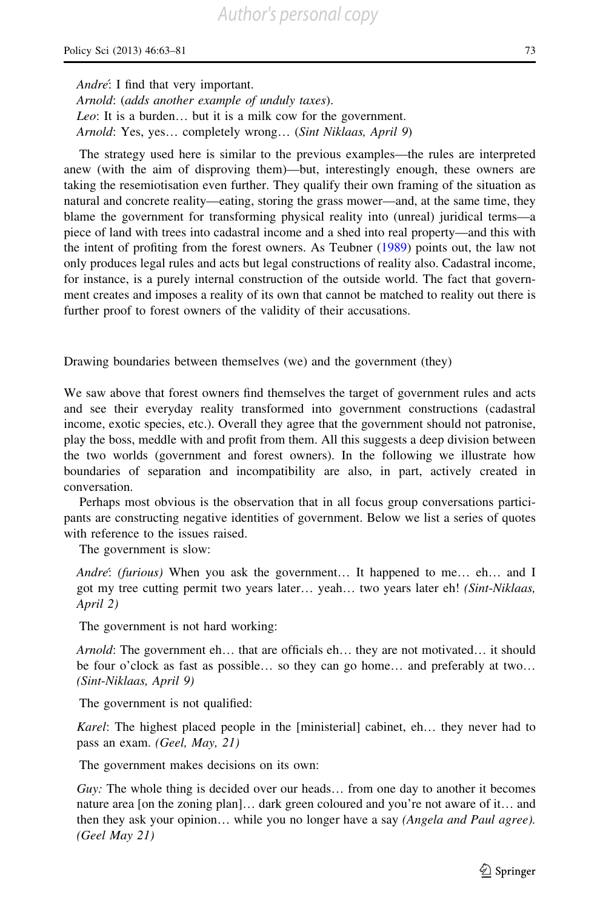Andre<sup> $\epsilon$ </sup>: I find that very important. Arnold: (adds another example of unduly taxes). Leo: It is a burden... but it is a milk cow for the government. Arnold: Yes, yes… completely wrong… (Sint Niklaas, April 9)

The strategy used here is similar to the previous examples—the rules are interpreted anew (with the aim of disproving them)—but, interestingly enough, these owners are taking the resemiotisation even further. They qualify their own framing of the situation as natural and concrete reality—eating, storing the grass mower—and, at the same time, they blame the government for transforming physical reality into (unreal) juridical terms—a piece of land with trees into cadastral income and a shed into real property—and this with the intent of profiting from the forest owners. As Teubner [\(1989](#page-19-0)) points out, the law not only produces legal rules and acts but legal constructions of reality also. Cadastral income, for instance, is a purely internal construction of the outside world. The fact that government creates and imposes a reality of its own that cannot be matched to reality out there is further proof to forest owners of the validity of their accusations.

Drawing boundaries between themselves (we) and the government (they)

We saw above that forest owners find themselves the target of government rules and acts and see their everyday reality transformed into government constructions (cadastral income, exotic species, etc.). Overall they agree that the government should not patronise, play the boss, meddle with and profit from them. All this suggests a deep division between the two worlds (government and forest owners). In the following we illustrate how boundaries of separation and incompatibility are also, in part, actively created in conversation.

Perhaps most obvious is the observation that in all focus group conversations participants are constructing negative identities of government. Below we list a series of quotes with reference to the issues raised.

The government is slow:

André: (furious) When you ask the government... It happened to me... eh... and I got my tree cutting permit two years later… yeah… two years later eh! (Sint-Niklaas, April 2)

The government is not hard working:

Arnold: The government eh… that are officials eh… they are not motivated… it should be four o'clock as fast as possible… so they can go home… and preferably at two… (Sint-Niklaas, April 9)

The government is not qualified:

Karel: The highest placed people in the [ministerial] cabinet, eh… they never had to pass an exam. (Geel, May, 21)

The government makes decisions on its own:

Guy: The whole thing is decided over our heads… from one day to another it becomes nature area [on the zoning plan]… dark green coloured and you're not aware of it… and then they ask your opinion… while you no longer have a say (Angela and Paul agree). (Geel May 21)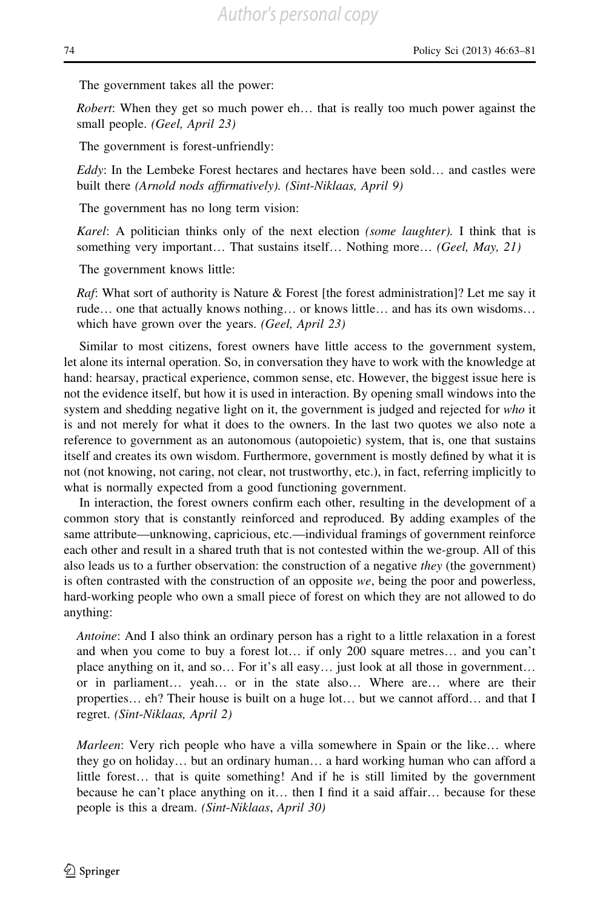The government takes all the power:

Robert: When they get so much power eh... that is really too much power against the small people. (Geel, April 23)

The government is forest-unfriendly:

Eddy: In the Lembeke Forest hectares and hectares have been sold… and castles were built there (Arnold nods affirmatively). (Sint-Niklaas, April 9)

The government has no long term vision:

Karel: A politician thinks only of the next election (some laughter). I think that is something very important... That sustains itself... Nothing more... (Geel, May, 21)

The government knows little:

Raf: What sort of authority is Nature & Forest [the forest administration]? Let me say it rude… one that actually knows nothing… or knows little… and has its own wisdoms… which have grown over the years. (Geel, April 23)

Similar to most citizens, forest owners have little access to the government system, let alone its internal operation. So, in conversation they have to work with the knowledge at hand: hearsay, practical experience, common sense, etc. However, the biggest issue here is not the evidence itself, but how it is used in interaction. By opening small windows into the system and shedding negative light on it, the government is judged and rejected for who it is and not merely for what it does to the owners. In the last two quotes we also note a reference to government as an autonomous (autopoietic) system, that is, one that sustains itself and creates its own wisdom. Furthermore, government is mostly defined by what it is not (not knowing, not caring, not clear, not trustworthy, etc.), in fact, referring implicitly to what is normally expected from a good functioning government.

In interaction, the forest owners confirm each other, resulting in the development of a common story that is constantly reinforced and reproduced. By adding examples of the same attribute—unknowing, capricious, etc.—individual framings of government reinforce each other and result in a shared truth that is not contested within the we-group. All of this also leads us to a further observation: the construction of a negative *they* (the government) is often contrasted with the construction of an opposite we, being the poor and powerless, hard-working people who own a small piece of forest on which they are not allowed to do anything:

Antoine: And I also think an ordinary person has a right to a little relaxation in a forest and when you come to buy a forest lot… if only 200 square metres… and you can't place anything on it, and so… For it's all easy… just look at all those in government… or in parliament… yeah… or in the state also… Where are… where are their properties… eh? Their house is built on a huge lot… but we cannot afford… and that I regret. (Sint-Niklaas, April 2)

*Marleen*: Very rich people who have a villa somewhere in Spain or the like... where they go on holiday… but an ordinary human… a hard working human who can afford a little forest… that is quite something! And if he is still limited by the government because he can't place anything on it… then I find it a said affair… because for these people is this a dream. (Sint-Niklaas, April 30)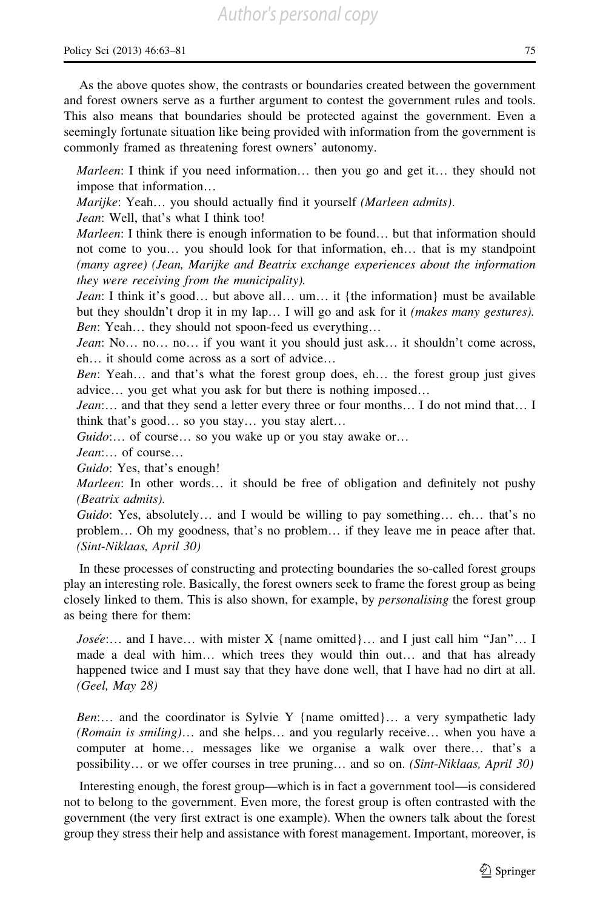*Author's personal copy*

#### Policy Sci (2013) 46:63–81 75

As the above quotes show, the contrasts or boundaries created between the government and forest owners serve as a further argument to contest the government rules and tools. This also means that boundaries should be protected against the government. Even a seemingly fortunate situation like being provided with information from the government is commonly framed as threatening forest owners' autonomy.

Marleen: I think if you need information... then you go and get it... they should not impose that information…

Marijke: Yeah… you should actually find it yourself (Marleen admits).

Jean: Well, that's what I think too!

Marleen: I think there is enough information to be found… but that information should not come to you… you should look for that information, eh… that is my standpoint (many agree) (Jean, Marijke and Beatrix exchange experiences about the information they were receiving from the municipality).

Jean: I think it's good… but above all… um… it {the information} must be available but they shouldn't drop it in my lap… I will go and ask for it (makes many gestures). Ben: Yeah… they should not spoon-feed us everything…

Jean: No... no... no... if you want it you should just ask... it shouldn't come across, eh… it should come across as a sort of advice…

Ben: Yeah… and that's what the forest group does, eh… the forest group just gives advice… you get what you ask for but there is nothing imposed…

Jean:… and that they send a letter every three or four months… I do not mind that… I think that's good… so you stay… you stay alert…

Guido:... of course... so you wake up or you stay awake or...

Jean:… of course…

Guido: Yes, that's enough!

Marleen: In other words... it should be free of obligation and definitely not pushy (Beatrix admits).

Guido: Yes, absolutely... and I would be willing to pay something... eh... that's no problem… Oh my goodness, that's no problem… if they leave me in peace after that. (Sint-Niklaas, April 30)

In these processes of constructing and protecting boundaries the so-called forest groups play an interesting role. Basically, the forest owners seek to frame the forest group as being closely linked to them. This is also shown, for example, by *personalising* the forest group as being there for them:

 $José:...$  and I have... with mister X {name omitted}... and I just call him "Jan"... I made a deal with him… which trees they would thin out… and that has already happened twice and I must say that they have done well, that I have had no dirt at all. (Geel, May 28)

Ben:... and the coordinator is Sylvie Y {name omitted}... a very sympathetic lady (Romain is smiling)… and she helps… and you regularly receive… when you have a computer at home… messages like we organise a walk over there… that's a possibility… or we offer courses in tree pruning… and so on. (Sint-Niklaas, April 30)

Interesting enough, the forest group—which is in fact a government tool—is considered not to belong to the government. Even more, the forest group is often contrasted with the government (the very first extract is one example). When the owners talk about the forest group they stress their help and assistance with forest management. Important, moreover, is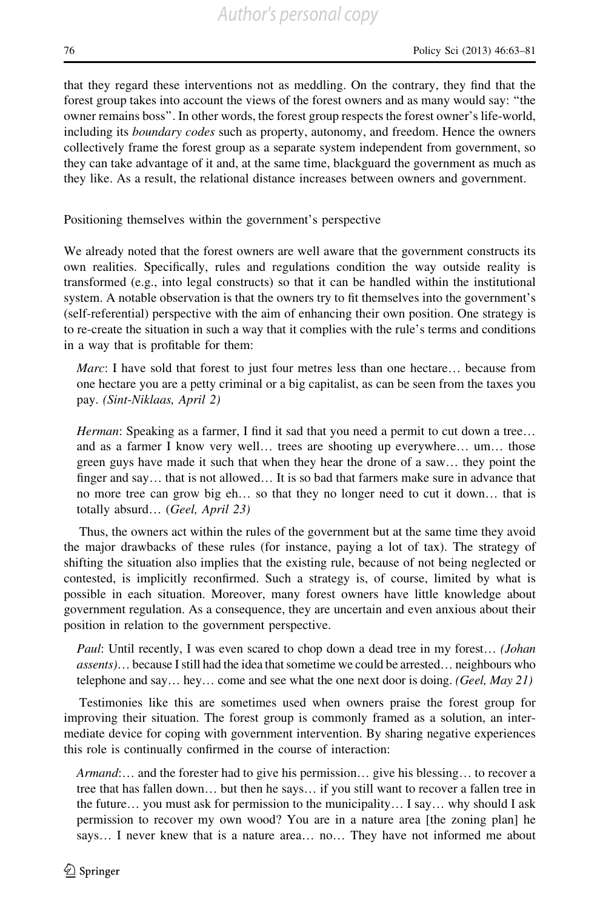that they regard these interventions not as meddling. On the contrary, they find that the forest group takes into account the views of the forest owners and as many would say: ''the owner remains boss''. In other words, the forest group respects the forest owner's life-world, including its *boundary codes* such as property, autonomy, and freedom. Hence the owners collectively frame the forest group as a separate system independent from government, so they can take advantage of it and, at the same time, blackguard the government as much as they like. As a result, the relational distance increases between owners and government.

Positioning themselves within the government's perspective

We already noted that the forest owners are well aware that the government constructs its own realities. Specifically, rules and regulations condition the way outside reality is transformed (e.g., into legal constructs) so that it can be handled within the institutional system. A notable observation is that the owners try to fit themselves into the government's (self-referential) perspective with the aim of enhancing their own position. One strategy is to re-create the situation in such a way that it complies with the rule's terms and conditions in a way that is profitable for them:

Marc: I have sold that forest to just four metres less than one hectare… because from one hectare you are a petty criminal or a big capitalist, as can be seen from the taxes you pay. (Sint-Niklaas, April 2)

Herman: Speaking as a farmer, I find it sad that you need a permit to cut down a tree... and as a farmer I know very well… trees are shooting up everywhere… um… those green guys have made it such that when they hear the drone of a saw… they point the finger and say… that is not allowed… It is so bad that farmers make sure in advance that no more tree can grow big eh… so that they no longer need to cut it down… that is totally absurd… (Geel, April 23)

Thus, the owners act within the rules of the government but at the same time they avoid the major drawbacks of these rules (for instance, paying a lot of tax). The strategy of shifting the situation also implies that the existing rule, because of not being neglected or contested, is implicitly reconfirmed. Such a strategy is, of course, limited by what is possible in each situation. Moreover, many forest owners have little knowledge about government regulation. As a consequence, they are uncertain and even anxious about their position in relation to the government perspective.

Paul: Until recently, I was even scared to chop down a dead tree in my forest… (Johan assents)… because I still had the idea that sometime we could be arrested… neighbours who telephone and say… hey… come and see what the one next door is doing. (Geel, May 21)

Testimonies like this are sometimes used when owners praise the forest group for improving their situation. The forest group is commonly framed as a solution, an intermediate device for coping with government intervention. By sharing negative experiences this role is continually confirmed in the course of interaction:

Armand:… and the forester had to give his permission… give his blessing… to recover a tree that has fallen down… but then he says… if you still want to recover a fallen tree in the future… you must ask for permission to the municipality… I say… why should I ask permission to recover my own wood? You are in a nature area [the zoning plan] he says… I never knew that is a nature area… no… They have not informed me about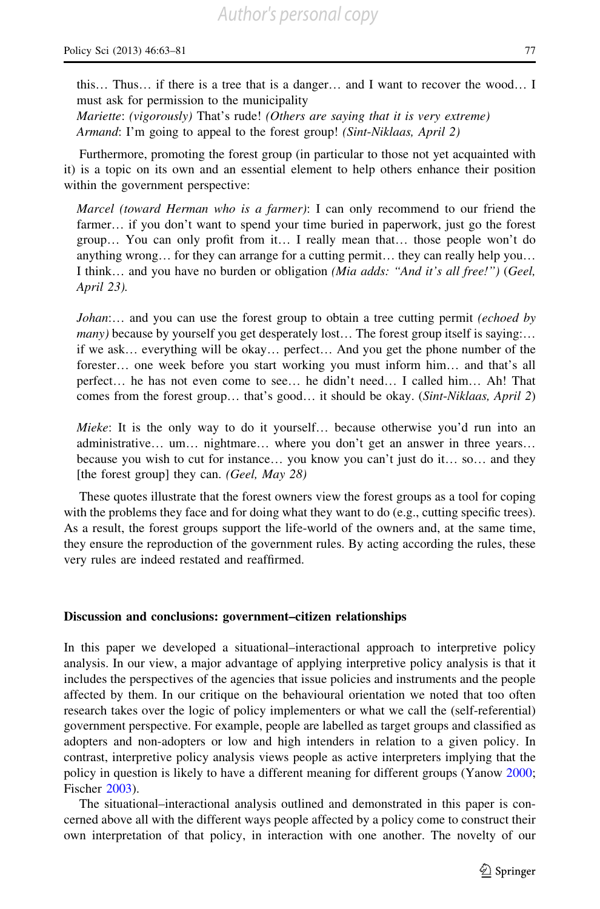this… Thus… if there is a tree that is a danger… and I want to recover the wood… I must ask for permission to the municipality

Mariette: (vigorously) That's rude! (Others are saying that it is very extreme) Armand: I'm going to appeal to the forest group! (Sint-Niklaas, April 2)

Furthermore, promoting the forest group (in particular to those not yet acquainted with it) is a topic on its own and an essential element to help others enhance their position within the government perspective:

Marcel (toward Herman who is a farmer): I can only recommend to our friend the farmer... if you don't want to spend your time buried in paperwork, just go the forest group… You can only profit from it… I really mean that… those people won't do anything wrong… for they can arrange for a cutting permit… they can really help you… I think… and you have no burden or obligation (Mia adds: ''And it's all free!'') (Geel, April 23).

Johan:... and you can use the forest group to obtain a tree cutting permit (echoed by many) because by yourself you get desperately lost… The forest group itself is saying:… if we ask… everything will be okay… perfect… And you get the phone number of the forester… one week before you start working you must inform him… and that's all perfect… he has not even come to see… he didn't need… I called him… Ah! That comes from the forest group… that's good… it should be okay. (Sint-Niklaas, April 2)

Mieke: It is the only way to do it yourself… because otherwise you'd run into an administrative… um… nightmare… where you don't get an answer in three years… because you wish to cut for instance… you know you can't just do it… so… and they [the forest group] they can. *(Geel, May 28)* 

These quotes illustrate that the forest owners view the forest groups as a tool for coping with the problems they face and for doing what they want to do (e.g., cutting specific trees). As a result, the forest groups support the life-world of the owners and, at the same time, they ensure the reproduction of the government rules. By acting according the rules, these very rules are indeed restated and reaffirmed.

#### Discussion and conclusions: government–citizen relationships

In this paper we developed a situational–interactional approach to interpretive policy analysis. In our view, a major advantage of applying interpretive policy analysis is that it includes the perspectives of the agencies that issue policies and instruments and the people affected by them. In our critique on the behavioural orientation we noted that too often research takes over the logic of policy implementers or what we call the (self-referential) government perspective. For example, people are labelled as target groups and classified as adopters and non-adopters or low and high intenders in relation to a given policy. In contrast, interpretive policy analysis views people as active interpreters implying that the policy in question is likely to have a different meaning for different groups (Yanow [2000;](#page-20-0) Fischer [2003\)](#page-19-0).

The situational–interactional analysis outlined and demonstrated in this paper is concerned above all with the different ways people affected by a policy come to construct their own interpretation of that policy, in interaction with one another. The novelty of our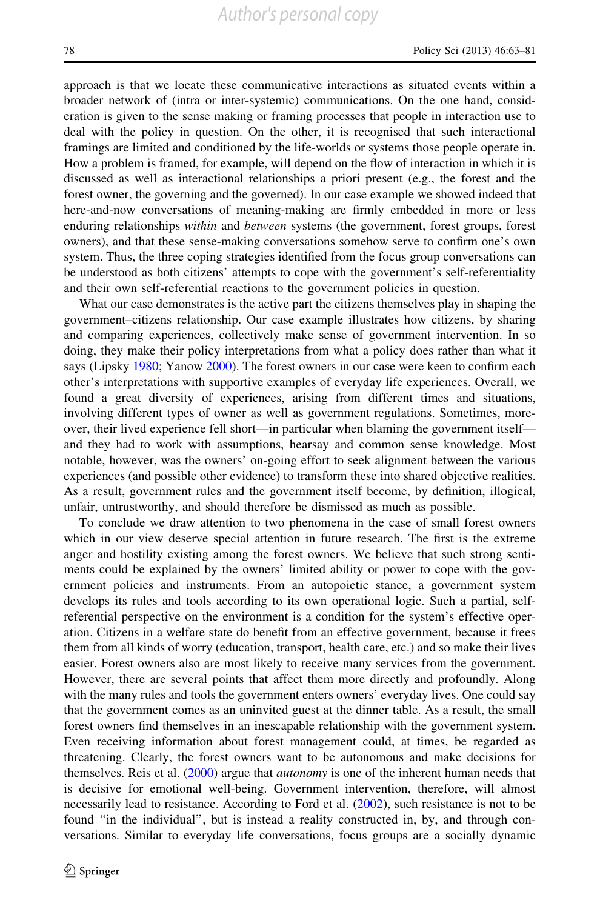approach is that we locate these communicative interactions as situated events within a broader network of (intra or inter-systemic) communications. On the one hand, consideration is given to the sense making or framing processes that people in interaction use to deal with the policy in question. On the other, it is recognised that such interactional framings are limited and conditioned by the life-worlds or systems those people operate in. How a problem is framed, for example, will depend on the flow of interaction in which it is discussed as well as interactional relationships a priori present (e.g., the forest and the forest owner, the governing and the governed). In our case example we showed indeed that here-and-now conversations of meaning-making are firmly embedded in more or less enduring relationships *within* and *between* systems (the government, forest groups, forest owners), and that these sense-making conversations somehow serve to confirm one's own system. Thus, the three coping strategies identified from the focus group conversations can be understood as both citizens' attempts to cope with the government's self-referentiality and their own self-referential reactions to the government policies in question.

What our case demonstrates is the active part the citizens themselves play in shaping the government–citizens relationship. Our case example illustrates how citizens, by sharing and comparing experiences, collectively make sense of government intervention. In so doing, they make their policy interpretations from what a policy does rather than what it says (Lipsky [1980](#page-19-0); Yanow [2000\)](#page-20-0). The forest owners in our case were keen to confirm each other's interpretations with supportive examples of everyday life experiences. Overall, we found a great diversity of experiences, arising from different times and situations, involving different types of owner as well as government regulations. Sometimes, moreover, their lived experience fell short—in particular when blaming the government itself and they had to work with assumptions, hearsay and common sense knowledge. Most notable, however, was the owners' on-going effort to seek alignment between the various experiences (and possible other evidence) to transform these into shared objective realities. As a result, government rules and the government itself become, by definition, illogical, unfair, untrustworthy, and should therefore be dismissed as much as possible.

To conclude we draw attention to two phenomena in the case of small forest owners which in our view deserve special attention in future research. The first is the extreme anger and hostility existing among the forest owners. We believe that such strong sentiments could be explained by the owners' limited ability or power to cope with the government policies and instruments. From an autopoietic stance, a government system develops its rules and tools according to its own operational logic. Such a partial, selfreferential perspective on the environment is a condition for the system's effective operation. Citizens in a welfare state do benefit from an effective government, because it frees them from all kinds of worry (education, transport, health care, etc.) and so make their lives easier. Forest owners also are most likely to receive many services from the government. However, there are several points that affect them more directly and profoundly. Along with the many rules and tools the government enters owners' everyday lives. One could say that the government comes as an uninvited guest at the dinner table. As a result, the small forest owners find themselves in an inescapable relationship with the government system. Even receiving information about forest management could, at times, be regarded as threatening. Clearly, the forest owners want to be autonomous and make decisions for themselves. Reis et al. ([2000\)](#page-19-0) argue that *autonomy* is one of the inherent human needs that is decisive for emotional well-being. Government intervention, therefore, will almost necessarily lead to resistance. According to Ford et al. ([2002\)](#page-19-0), such resistance is not to be found "in the individual", but is instead a reality constructed in, by, and through conversations. Similar to everyday life conversations, focus groups are a socially dynamic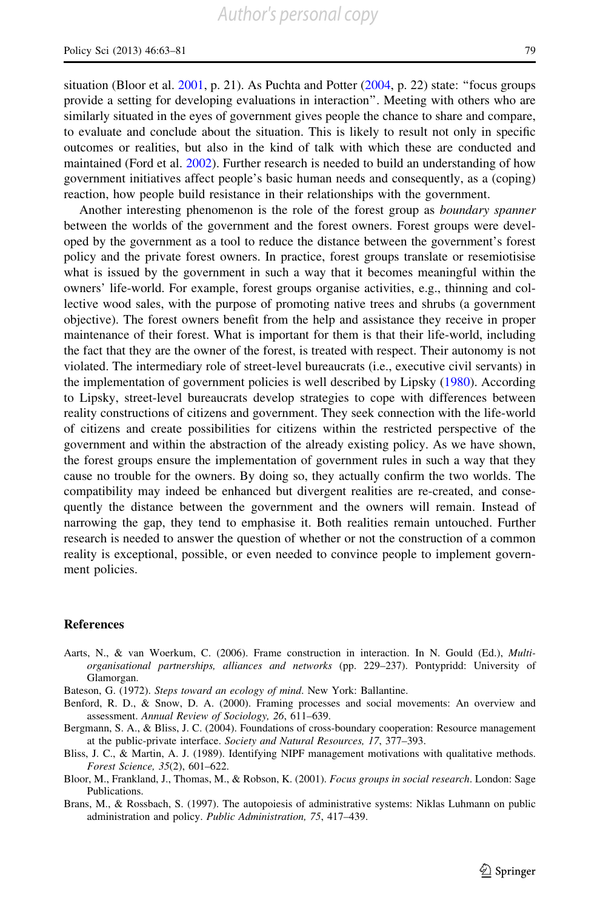<span id="page-18-0"></span>situation (Bloor et al.  $2001$ , p. 21). As Puchta and Potter ( $2004$ , p. 22) state: "focus groups provide a setting for developing evaluations in interaction''. Meeting with others who are similarly situated in the eyes of government gives people the chance to share and compare, to evaluate and conclude about the situation. This is likely to result not only in specific outcomes or realities, but also in the kind of talk with which these are conducted and maintained (Ford et al. [2002](#page-19-0)). Further research is needed to build an understanding of how government initiatives affect people's basic human needs and consequently, as a (coping) reaction, how people build resistance in their relationships with the government.

Another interesting phenomenon is the role of the forest group as boundary spanner between the worlds of the government and the forest owners. Forest groups were developed by the government as a tool to reduce the distance between the government's forest policy and the private forest owners. In practice, forest groups translate or resemiotisise what is issued by the government in such a way that it becomes meaningful within the owners' life-world. For example, forest groups organise activities, e.g., thinning and collective wood sales, with the purpose of promoting native trees and shrubs (a government objective). The forest owners benefit from the help and assistance they receive in proper maintenance of their forest. What is important for them is that their life-world, including the fact that they are the owner of the forest, is treated with respect. Their autonomy is not violated. The intermediary role of street-level bureaucrats (i.e., executive civil servants) in the implementation of government policies is well described by Lipsky [\(1980](#page-19-0)). According to Lipsky, street-level bureaucrats develop strategies to cope with differences between reality constructions of citizens and government. They seek connection with the life-world of citizens and create possibilities for citizens within the restricted perspective of the government and within the abstraction of the already existing policy. As we have shown, the forest groups ensure the implementation of government rules in such a way that they cause no trouble for the owners. By doing so, they actually confirm the two worlds. The compatibility may indeed be enhanced but divergent realities are re-created, and consequently the distance between the government and the owners will remain. Instead of narrowing the gap, they tend to emphasise it. Both realities remain untouched. Further research is needed to answer the question of whether or not the construction of a common reality is exceptional, possible, or even needed to convince people to implement government policies.

## **References**

Aarts, N., & van Woerkum, C. (2006). Frame construction in interaction. In N. Gould (Ed.), Multiorganisational partnerships, alliances and networks (pp. 229–237). Pontypridd: University of Glamorgan.

Bateson, G. (1972). Steps toward an ecology of mind. New York: Ballantine.

- Benford, R. D., & Snow, D. A. (2000). Framing processes and social movements: An overview and assessment. Annual Review of Sociology, 26, 611–639.
- Bergmann, S. A., & Bliss, J. C. (2004). Foundations of cross-boundary cooperation: Resource management at the public-private interface. Society and Natural Resources, 17, 377–393.
- Bliss, J. C., & Martin, A. J. (1989). Identifying NIPF management motivations with qualitative methods. Forest Science, 35(2), 601–622.
- Bloor, M., Frankland, J., Thomas, M., & Robson, K. (2001). Focus groups in social research. London: Sage Publications.
- Brans, M., & Rossbach, S. (1997). The autopoiesis of administrative systems: Niklas Luhmann on public administration and policy. Public Administration, 75, 417–439.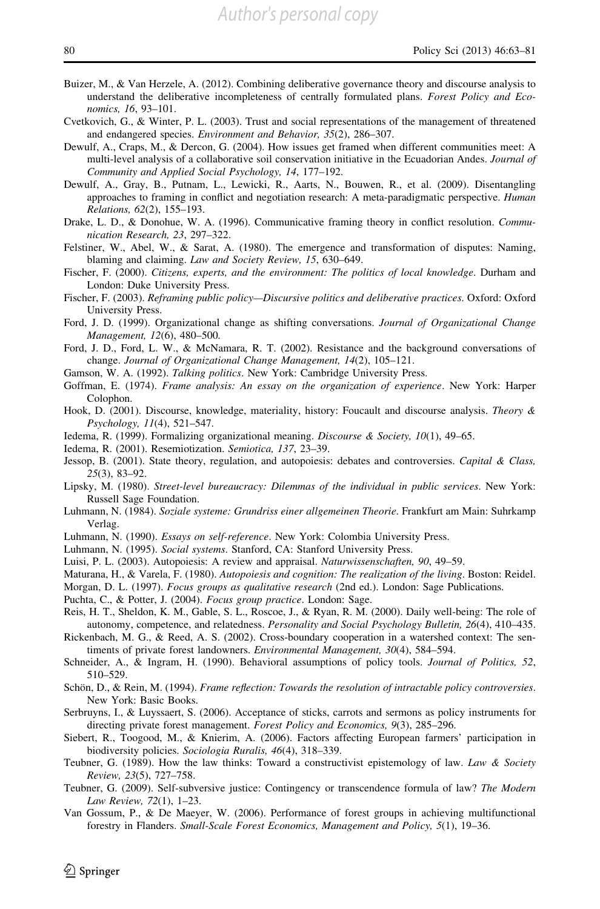- <span id="page-19-0"></span>Buizer, M., & Van Herzele, A. (2012). Combining deliberative governance theory and discourse analysis to understand the deliberative incompleteness of centrally formulated plans. Forest Policy and Economics, 16, 93–101.
- Cvetkovich, G., & Winter, P. L. (2003). Trust and social representations of the management of threatened and endangered species. Environment and Behavior, 35(2), 286–307.
- Dewulf, A., Craps, M., & Dercon, G. (2004). How issues get framed when different communities meet: A multi-level analysis of a collaborative soil conservation initiative in the Ecuadorian Andes. Journal of Community and Applied Social Psychology, 14, 177–192.
- Dewulf, A., Gray, B., Putnam, L., Lewicki, R., Aarts, N., Bouwen, R., et al. (2009). Disentangling approaches to framing in conflict and negotiation research: A meta-paradigmatic perspective. Human Relations, 62(2), 155–193.
- Drake, L. D., & Donohue, W. A. (1996). Communicative framing theory in conflict resolution. Communication Research, 23, 297–322.
- Felstiner, W., Abel, W., & Sarat, A. (1980). The emergence and transformation of disputes: Naming, blaming and claiming. Law and Society Review, 15, 630–649.
- Fischer, F. (2000). Citizens, experts, and the environment: The politics of local knowledge. Durham and London: Duke University Press.
- Fischer, F. (2003). Reframing public policy—Discursive politics and deliberative practices. Oxford: Oxford University Press.
- Ford, J. D. (1999). Organizational change as shifting conversations. Journal of Organizational Change Management, 12(6), 480–500.
- Ford, J. D., Ford, L. W., & McNamara, R. T. (2002). Resistance and the background conversations of change. Journal of Organizational Change Management, 14(2), 105–121.

Gamson, W. A. (1992). Talking politics. New York: Cambridge University Press.

- Goffman, E. (1974). Frame analysis: An essay on the organization of experience. New York: Harper Colophon.
- Hook, D. (2001). Discourse, knowledge, materiality, history: Foucault and discourse analysis. Theory & Psychology, 11(4), 521–547.
- Iedema, R. (1999). Formalizing organizational meaning. Discourse & Society,  $10(1)$ , 49–65.
- Iedema, R. (2001). Resemiotization. Semiotica, 137, 23–39.
- Jessop, B. (2001). State theory, regulation, and autopoiesis: debates and controversies. Capital & Class, 25(3), 83–92.
- Lipsky, M. (1980). Street-level bureaucracy: Dilemmas of the individual in public services. New York: Russell Sage Foundation.
- Luhmann, N. (1984). Soziale systeme: Grundriss einer allgemeinen Theorie. Frankfurt am Main: Suhrkamp Verlag.
- Luhmann, N. (1990). Essays on self-reference. New York: Colombia University Press.
- Luhmann, N. (1995). Social systems. Stanford, CA: Stanford University Press.
- Luisi, P. L. (2003). Autopoiesis: A review and appraisal. Naturwissenschaften, 90, 49–59.
- Maturana, H., & Varela, F. (1980). Autopoiesis and cognition: The realization of the living. Boston: Reidel.
- Morgan, D. L. (1997). Focus groups as qualitative research (2nd ed.). London: Sage Publications.
- Puchta, C., & Potter, J. (2004). Focus group practice. London: Sage.
- Reis, H. T., Sheldon, K. M., Gable, S. L., Roscoe, J., & Ryan, R. M. (2000). Daily well-being: The role of autonomy, competence, and relatedness. Personality and Social Psychology Bulletin, 26(4), 410-435.
- Rickenbach, M. G., & Reed, A. S. (2002). Cross-boundary cooperation in a watershed context: The sentiments of private forest landowners. Environmental Management, 30(4), 584–594.
- Schneider, A., & Ingram, H. (1990). Behavioral assumptions of policy tools. Journal of Politics, 52, 510–529.
- Schön, D., & Rein, M. (1994). Frame reflection: Towards the resolution of intractable policy controversies. New York: Basic Books.
- Serbruyns, I., & Luyssaert, S. (2006). Acceptance of sticks, carrots and sermons as policy instruments for directing private forest management. Forest Policy and Economics, 9(3), 285–296.
- Siebert, R., Toogood, M., & Knierim, A. (2006). Factors affecting European farmers' participation in biodiversity policies. Sociologia Ruralis, 46(4), 318–339.
- Teubner, G. (1989). How the law thinks: Toward a constructivist epistemology of law. Law & Society Review, 23(5), 727–758.
- Teubner, G. (2009). Self-subversive justice: Contingency or transcendence formula of law? The Modern Law Review, 72(1), 1–23.
- Van Gossum, P., & De Maeyer, W. (2006). Performance of forest groups in achieving multifunctional forestry in Flanders. Small-Scale Forest Economics, Management and Policy, 5(1), 19–36.